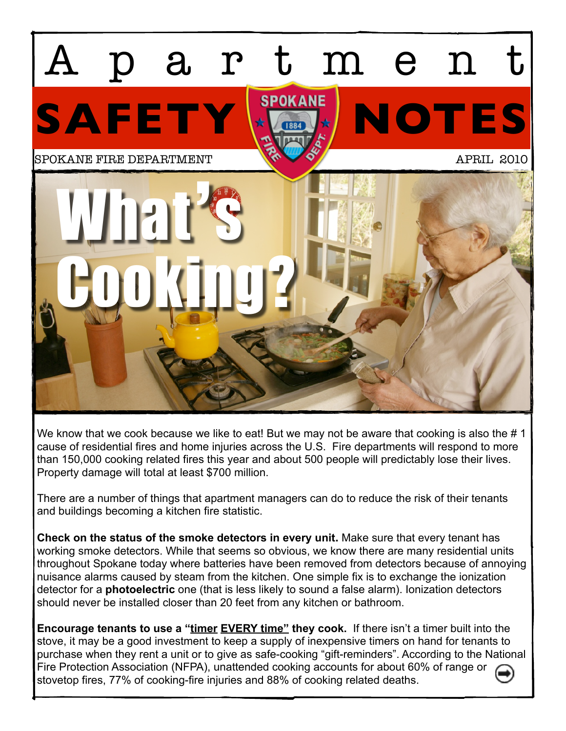

We know that we cook because we like to eat! But we may not be aware that cooking is also the #1 cause of residential fires and home injuries across the U.S. Fire departments will respond to more than 150,000 cooking related fires this year and about 500 people will predictably lose their lives. Property damage will total at least \$700 million.

There are a number of things that apartment managers can do to reduce the risk of their tenants and buildings becoming a kitchen fire statistic.

**Check on the status of the smoke detectors in every unit.** Make sure that every tenant has working smoke detectors. While that seems so obvious, we know there are many residential units throughout Spokane today where batteries have been removed from detectors because of annoying nuisance alarms caused by steam from the kitchen. One simple fix is to exchange the ionization detector for a **photoelectric** one (that is less likely to sound a false alarm). Ionization detectors should never be installed closer than 20 feet from any kitchen or bathroom.

**Encourage tenants to use a "timer EVERY time" they cook.** If there isn't a timer built into the stove, it may be a good investment to keep a supply of inexpensive timers on hand for tenants to purchase when they rent a unit or to give as safe-cooking "gift-reminders". According to the National Fire Protection Association (NFPA), unattended cooking accounts for about 60% of range or stovetop fires, 77% of cooking-fire injuries and 88% of cooking related deaths.